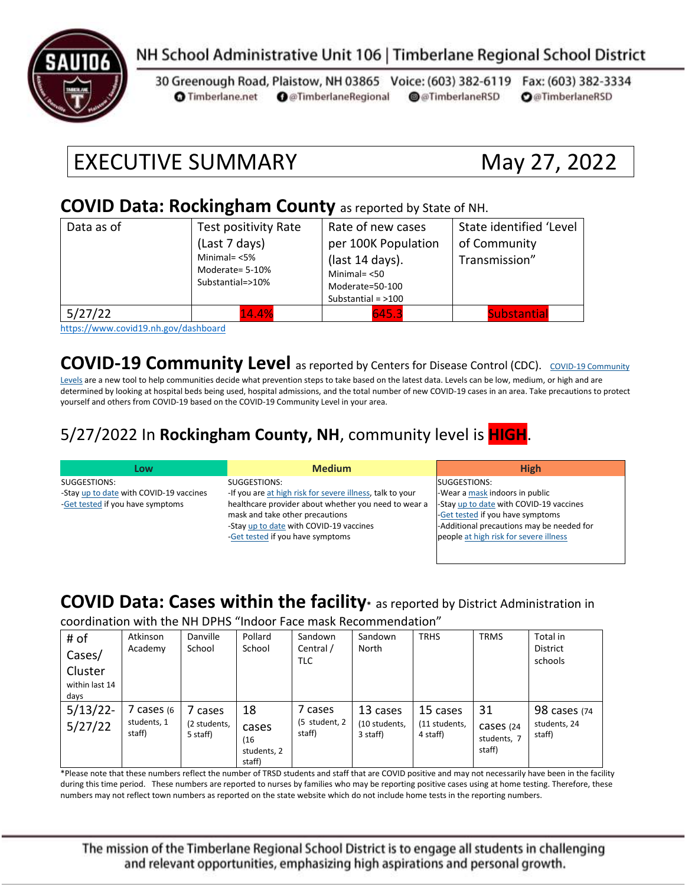

#### NH School Administrative Unit 106 | Timberlane Regional School District

30 Greenough Road, Plaistow, NH 03865 Voice: (603) 382-6119 Fax: (603) 382-3334 **O** @TimberlaneRegional @@TimberlaneRSD **O**@TimberlaneRSD **O** Timberlane.net

# EXECUTIVE SUMMARY May 27, 2022

#### **COVID Data: Rockingham County** as reported by State of NH.

| Data as of                   | Test positivity Rate<br>(Last 7 days)                  | Rate of new cases<br>per 100K Population                                      | State identified 'Level<br>of Community |  |
|------------------------------|--------------------------------------------------------|-------------------------------------------------------------------------------|-----------------------------------------|--|
|                              | Minimal= $<$ 5%<br>Moderate= 5-10%<br>Substantial=>10% | (last 14 days).<br>Minimal $=$ <50<br>Moderate=50-100<br>Substantial = $>100$ | Transmission"                           |  |
| 5/27/22<br>$\cdots$ $\cdots$ | 14.4%<br>.                                             | 645.3                                                                         | <b>Substantial</b>                      |  |

<https://www.covid19.nh.gov/dashboard>

**[COVID-19 Community](https://www.cdc.gov/coronavirus/2019-ncov/science/community-levels.html) Level** as reported by Centers for Disease Control (CDC). COVID-19 Community

[Levels](https://www.cdc.gov/coronavirus/2019-ncov/science/community-levels.html) are a new tool to help communities decide what prevention steps to take based on the latest data. Levels can be low, medium, or high and are determined by looking at hospital beds being used, hospital admissions, and the total number of new COVID-19 cases in an area. Take precautions to protect yourself and others from COVID-19 based on the COVID-19 Community Level in your area.

#### 5/27/2022 In **Rockingham County, NH**, community level is **HIGH**.

| Low                                     | <b>Medium</b>                                             | <b>High</b>                               |
|-----------------------------------------|-----------------------------------------------------------|-------------------------------------------|
| SUGGESTIONS:                            | SUGGESTIONS:                                              | SUGGESTIONS:                              |
| -Stay up to date with COVID-19 vaccines | -If you are at high risk for severe illness, talk to your | -Wear a mask indoors in public            |
| -Get tested if you have symptoms        | healthcare provider about whether you need to wear a      | -Stay up to date with COVID-19 vaccines   |
|                                         | mask and take other precautions                           | -Get tested if you have symptoms          |
|                                         | -Stay up to date with COVID-19 vaccines                   | -Additional precautions may be needed for |
|                                         | -Get tested if you have symptoms                          | people at high risk for severe illness    |
|                                         |                                                           |                                           |

#### **COVID Data: Cases within the facility\*** as reported by District Administration in

coordination with the NH DPHS "Indoor Face mask Recommendation"

| # of<br>Cases/                    | Atkinson<br>Academy               | Danville<br>School                | Pollard<br>School                            | Sandown<br>Central /<br>TLC        | Sandown<br>North                      | <b>TRHS</b>                           | <b>TRMS</b>                              | Total in<br><b>District</b><br>schools |
|-----------------------------------|-----------------------------------|-----------------------------------|----------------------------------------------|------------------------------------|---------------------------------------|---------------------------------------|------------------------------------------|----------------------------------------|
| Cluster<br>within last 14<br>days |                                   |                                   |                                              |                                    |                                       |                                       |                                          |                                        |
| 5/13/22<br>5/27/22                | cases (6<br>students, 1<br>staff) | cases<br>(2 students,<br>5 staff) | 18<br>cases<br>(16)<br>students, 2<br>staff) | 7 cases<br>(5 student, 2<br>staff) | 13 cases<br>(10 students,<br>3 staff) | 15 cases<br>(11 students,<br>4 staff) | 31<br>Cases (24<br>students, 7<br>staff) | 98 cases (74<br>students, 24<br>staff) |

\*Please note that these numbers reflect the number of TRSD students and staff that are COVID positive and may not necessarily have been in the facility during this time period. These numbers are reported to nurses by families who may be reporting positive cases using at home testing. Therefore, these numbers may not reflect town numbers as reported on the state website which do not include home tests in the reporting numbers.

The mission of the Timberlane Regional School District is to engage all students in challenging and relevant opportunities, emphasizing high aspirations and personal growth.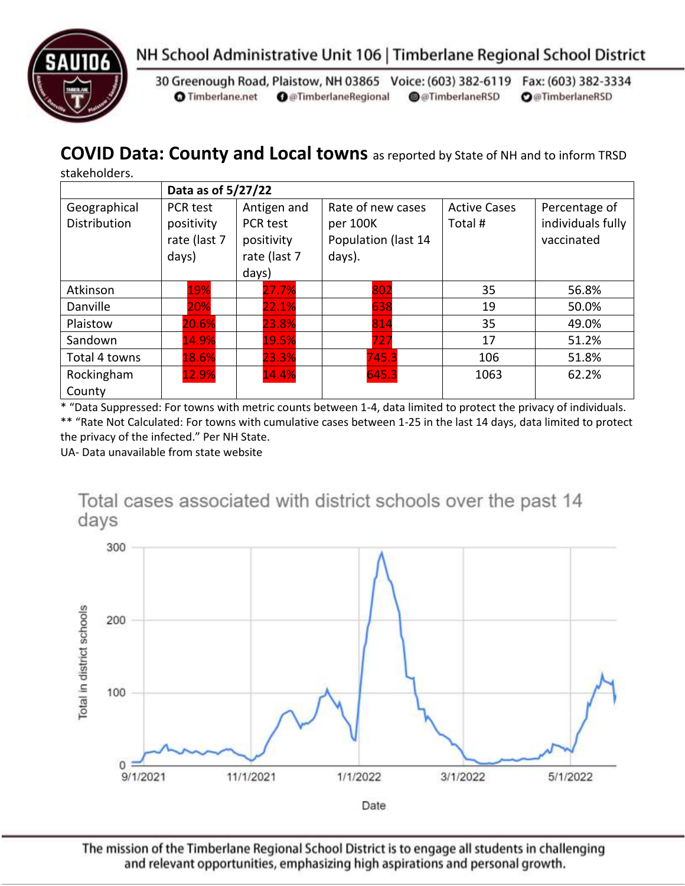



30 Greenough Road, Plaistow, NH 03865 Voice: (603) 382-6119 Fax: (603) 382-3334 **O** Timberlane.net **O** @TimberlaneRegional @@TimberlaneRSD **O**@TimberlaneRSD

#### **COVID Data: County and Local towns** as reported by State of NH and to inform TRSD

stakeholders.

|                                     | Data as of 5/27/22                                     |                                                                |                                                                |                               |                                                  |  |
|-------------------------------------|--------------------------------------------------------|----------------------------------------------------------------|----------------------------------------------------------------|-------------------------------|--------------------------------------------------|--|
| Geographical<br><b>Distribution</b> | <b>PCR test</b><br>positivity<br>rate (last 7<br>days) | Antigen and<br>PCR test<br>positivity<br>rate (last 7<br>days) | Rate of new cases<br>per 100K<br>Population (last 14<br>days). | <b>Active Cases</b><br>Total# | Percentage of<br>individuals fully<br>vaccinated |  |
| Atkinson                            | 19%                                                    | 27.7%                                                          | 802                                                            | 35                            | 56.8%                                            |  |
| Danville                            | 20%                                                    | 22.1%                                                          | 638                                                            | 19                            | 50.0%                                            |  |
| Plaistow                            | 20.6%                                                  | 23.8%                                                          | 814                                                            | 35                            | 49.0%                                            |  |
| Sandown                             | 14.9%                                                  | 19.5%                                                          | 727                                                            | 17                            | 51.2%                                            |  |
| Total 4 towns                       | 18.6%                                                  | 23.3%                                                          | 745.3                                                          | 106                           | 51.8%                                            |  |
| Rockingham<br>County                | 12.9%                                                  | 14.4%                                                          | 645.3                                                          | 1063                          | 62.2%                                            |  |

\* "Data Suppressed: For towns with metric counts between 1-4, data limited to protect the privacy of individuals. \*\* "Rate Not Calculated: For towns with cumulative cases between 1-25 in the last 14 days, data limited to protect

the privacy of the infected." Per NH State.

UA- Data unavailable from state website



The mission of the Timberlane Regional School District is to engage all students in challenging and relevant opportunities, emphasizing high aspirations and personal growth.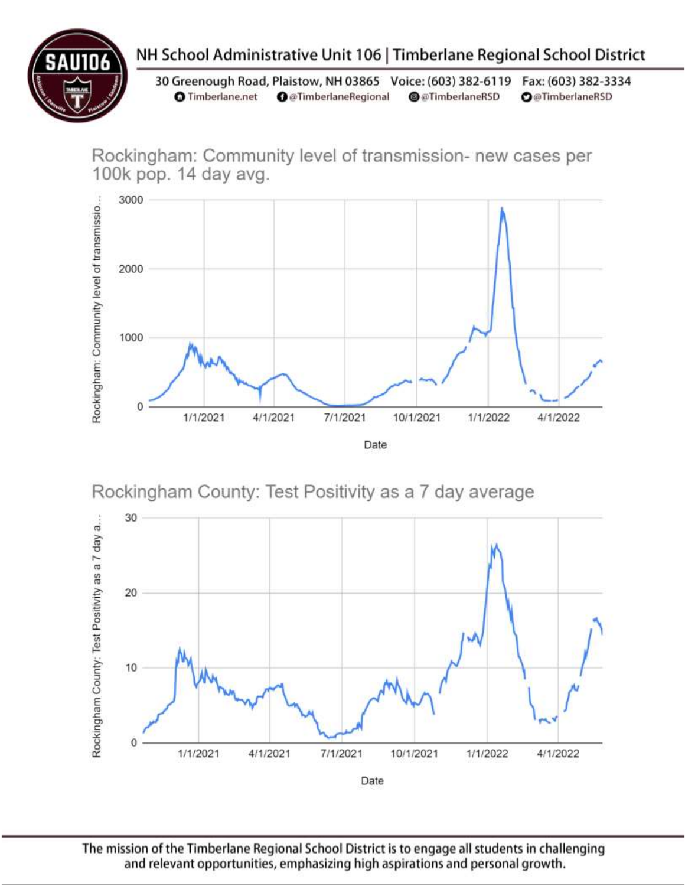## NH School Administrative Unit 106 | Timberlane Regional School District

30 Greenough Road, Plaistow, NH 03865 Voice: (603) 382-6119 Fax: (603) 382-3334 **O** Timberlane.net **O** @TimberlaneRegional @@TimberlaneRSD **O**@TimberlaneRSD

Rockingham: Community level of transmission- new cases per 100k pop. 14 day avg.



Rockingham County: Test Positivity as a 7 day average



The mission of the Timberlane Regional School District is to engage all students in challenging and relevant opportunities, emphasizing high aspirations and personal growth.